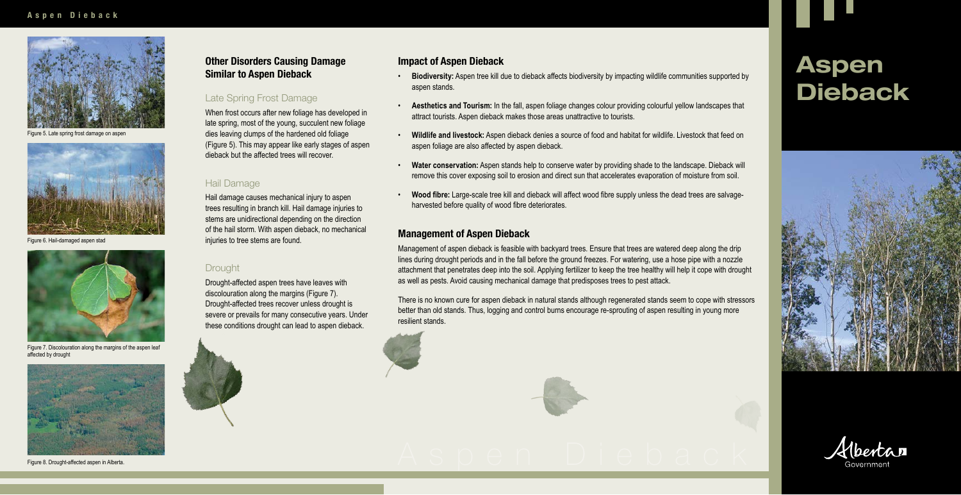# **Aspen Dieback**





Figure 5. Late spring frost damage on aspen



Figure 6. Hail-damaged aspen stad

# **Other Disorders Causing Damage Similar to Aspen Dieback**

#### Late Spring Frost Damage

When frost occurs after new foliage has developed in late spring, most of the young, succulent new foliage dies leaving clumps of the hardened old foliage (Figure 5). This may appear like early stages of aspen dieback but the affected trees will recover.

#### Hail Damage

Hail damage causes mechanical injury to aspen trees resulting in branch kill. Hail damage injuries to stems are unidirectional depending on the direction of the hail storm. With aspen dieback, no mechanical injuries to tree stems are found.

#### **Drought**

Drought-affected aspen trees have leaves with discolouration along the margins (Figure 7). Drought-affected trees recover unless drought is severe or prevails for many consecutive years. Under these conditions drought can lead to aspen dieback.





Figure 7. Discolouration along the margins of the aspen leaf affected by drought



Figure 8. Drought-affected aspen in Alberta.

## **Impact of Aspen Dieback**

- • **Biodiversity:** Aspen tree kill due to dieback affects biodiversity by impacting wildlife communities supported by aspen stands.
- **Aesthetics and Tourism:** In the fall, aspen foliage changes colour providing colourful yellow landscapes that attract tourists. Aspen dieback makes those areas unattractive to tourists.
- • **Wildlife and livestock:** Aspen dieback denies a source of food and habitat for wildlife. Livestock that feed on aspen foliage are also affected by aspen dieback.
- • **Water conservation:** Aspen stands help to conserve water by providing shade to the landscape. Dieback will remove this cover exposing soil to erosion and direct sun that accelerates evaporation of moisture from soil.
- **Wood fibre:** Large-scale tree kill and dieback will affect wood fibre supply unless the dead trees are salvageharvested before quality of wood fibre deteriorates.

#### **Management of Aspen Dieback**

Management of aspen dieback is feasible with backyard trees. Ensure that trees are watered deep along the drip lines during drought periods and in the fall before the ground freezes. For watering, use a hose pipe with a nozzle attachment that penetrates deep into the soil. Applying fertilizer to keep the tree healthy will help it cope with drought as well as pests. Avoid causing mechanical damage that predisposes trees to pest attack.

There is no known cure for aspen dieback in natural stands although regenerated stands seem to cope with stressors better than old stands. Thus, logging and control burns encourage re-sprouting of aspen resulting in young more resilient stands.